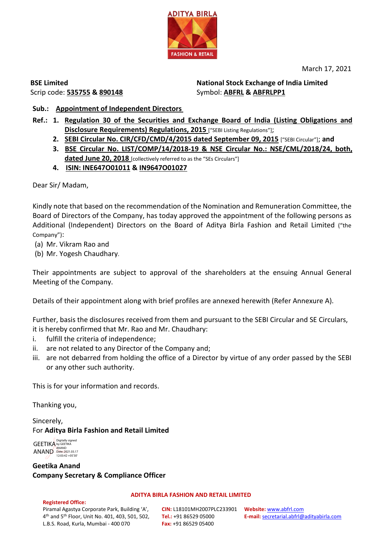

March 17, 2021

**BSE Limited** Scrip code: **535755 & 890148** **National Stock Exchange of India Limited**  Symbol: **ABFRL & ABFRLPP1**

# **Sub.: Appointment of Independent Directors**

- **Ref.: 1. Regulation 30 of the Securities and Exchange Board of India (Listing Obligations and Disclosure Requirements) Regulations, 2015** ["SEBI Listing Regulations"];
	- **2. SEBI Circular No. CIR/CFD/CMD/4/2015 dated September 09, 2015** ["SEBI Circular"]; **and**
	- **3. BSE Circular No. LIST/COMP/14/2018-19 & NSE Circular No.: NSE/CML/2018/24, both, dated June 20, 2018** [collectively referred to as the "SEs Circulars"]
	- **4. ISIN: INE647O01011 & IN9647O01027**

Dear Sir/ Madam,

Kindly note that based on the recommendation of the Nomination and Remuneration Committee, the Board of Directors of the Company, has today approved the appointment of the following persons as Additional (Independent) Directors on the Board of Aditya Birla Fashion and Retail Limited ("the Company"):

- (a) Mr. Vikram Rao and
- (b) Mr. Yogesh Chaudhary.

Their appointments are subject to approval of the shareholders at the ensuing Annual General Meeting of the Company.

Details of their appointment along with brief profiles are annexed herewith (Refer Annexure A).

Further, basis the disclosures received from them and pursuant to the SEBI Circular and SE Circulars, it is hereby confirmed that Mr. Rao and Mr. Chaudhary:

- i. fulfill the criteria of independence;
- ii. are not related to any Director of the Company and;
- iii. are not debarred from holding the office of a Director by virtue of any order passed by the SEBI or any other such authority.

This is for your information and records.

Thanking you,

Sincerely, For **Aditya Birla Fashion and Retail Limited**

**GEETIKA** ANAND Digitally signed by GEETIKA ANAND Date: 2021.03.17 12:03:42 +05'30'

**Geetika Anand Company Secretary & Compliance Officer**

### **Registered Office:**

### **ADITYA BIRLA FASHION AND RETAIL LIMITED**

Piramal Agastya Corporate Park, Building 'A', 4th and 5th Floor, Unit No. 401, 403, 501, 502, L.B.S. Road, Kurla, Mumbai - 400 070

**CIN:** L18101MH2007PLC233901 **Website:** [www.abfrl.com](http://www.abfrl.com/) **Tel.:** +91 86529 05000 **Fax:** +91 86529 05400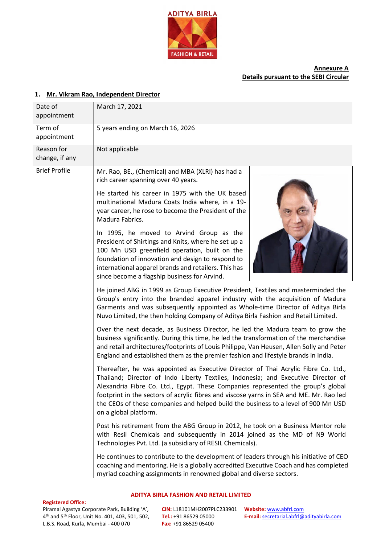

## **Annexure A Details pursuant to the SEBI Circular**

### **1. Mr. Vikram Rao, Independent Director**

| March 17, 2021<br>5 years ending on March 16, 2026<br>Not applicable<br>Mr. Rao, BE., (Chemical) and MBA (XLRI) has had a                                                                                                                                                                                                                                                                                                                                             |                                                                                                                                                                                                                                                                                                                                             |
|-----------------------------------------------------------------------------------------------------------------------------------------------------------------------------------------------------------------------------------------------------------------------------------------------------------------------------------------------------------------------------------------------------------------------------------------------------------------------|---------------------------------------------------------------------------------------------------------------------------------------------------------------------------------------------------------------------------------------------------------------------------------------------------------------------------------------------|
|                                                                                                                                                                                                                                                                                                                                                                                                                                                                       |                                                                                                                                                                                                                                                                                                                                             |
|                                                                                                                                                                                                                                                                                                                                                                                                                                                                       |                                                                                                                                                                                                                                                                                                                                             |
|                                                                                                                                                                                                                                                                                                                                                                                                                                                                       |                                                                                                                                                                                                                                                                                                                                             |
| rich career spanning over 40 years.                                                                                                                                                                                                                                                                                                                                                                                                                                   |                                                                                                                                                                                                                                                                                                                                             |
| He started his career in 1975 with the UK based<br>multinational Madura Coats India where, in a 19-<br>year career, he rose to become the President of the<br>Madura Fabrics.                                                                                                                                                                                                                                                                                         |                                                                                                                                                                                                                                                                                                                                             |
| In 1995, he moved to Arvind Group as the<br>President of Shirtings and Knits, where he set up a<br>100 Mn USD greenfield operation, built on the<br>foundation of innovation and design to respond to<br>international apparel brands and retailers. This has<br>since become a flagship business for Arvind.                                                                                                                                                         |                                                                                                                                                                                                                                                                                                                                             |
|                                                                                                                                                                                                                                                                                                                                                                                                                                                                       |                                                                                                                                                                                                                                                                                                                                             |
| Over the next decade, as Business Director, he led the Madura team to grow the<br>business significantly. During this time, he led the transformation of the merchandise<br>and retail architectures/footprints of Louis Philippe, Van Heusen, Allen Solly and Peter<br>England and established them as the premier fashion and lifestyle brands in India.                                                                                                            |                                                                                                                                                                                                                                                                                                                                             |
| Thereafter, he was appointed as Executive Director of Thai Acrylic Fibre Co. Ltd.,<br>Thailand; Director of Indo Liberty Textiles, Indonesia; and Executive Director of<br>Alexandria Fibre Co. Ltd., Egypt. These Companies represented the group's global<br>footprint in the sectors of acrylic fibres and viscose yarns in SEA and ME. Mr. Rao led<br>the CEOs of these companies and helped build the business to a level of 900 Mn USD<br>on a global platform. |                                                                                                                                                                                                                                                                                                                                             |
| Post his retirement from the ABG Group in 2012, he took on a Business Mentor role<br>with Resil Chemicals and subsequently in 2014 joined as the MD of N9 World<br>Technologies Pvt. Ltd. (a subsidiary of RESIL Chemicals).                                                                                                                                                                                                                                          |                                                                                                                                                                                                                                                                                                                                             |
| He continues to contribute to the development of leaders through his initiative of CEO<br>coaching and mentoring. He is a globally accredited Executive Coach and has completed<br>myriad coaching assignments in renowned global and diverse sectors.                                                                                                                                                                                                                |                                                                                                                                                                                                                                                                                                                                             |
|                                                                                                                                                                                                                                                                                                                                                                                                                                                                       | He joined ABG in 1999 as Group Executive President, Textiles and masterminded the<br>Group's entry into the branded apparel industry with the acquisition of Madura<br>Garments and was subsequently appointed as Whole-time Director of Aditya Birla<br>Nuvo Limited, the then holding Company of Aditya Birla Fashion and Retail Limited. |

#### **Registered Office:**

Piramal Agastya Corporate Park, Building 'A', 4th and 5th Floor, Unit No. 401, 403, 501, 502, L.B.S. Road, Kurla, Mumbai - 400 070

**CIN:** L18101MH2007PLC233901 **Website:** [www.abfrl.com](http://www.abfrl.com/) **Tel.:** +91 86529 05000 **Fax:** +91 86529 05400

**ADITYA BIRLA FASHION AND RETAIL LIMITED**